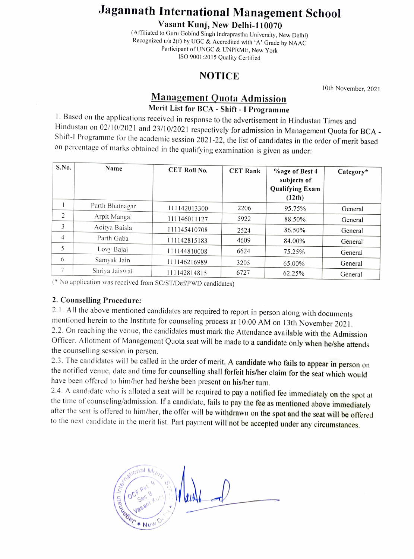## Jagannath International Management School

Vasant Kunj, New Delhi-110070<br>(Affiliated to Guru Gobind Singh Indraprastha University, New Delhi) Recognized u/s 2(f) by UGC & Accredited with 'A' Grade by NAAC Participant of UNGC & UNPRME, New York IsO 9001:2015 Quality Certified

## NOTICE

10th November, 2021

## Management Quota Admission Merit List for BCA - Shift

1. Based on the applications received in response to the advertisement in Hindustan Times and Hindustan on 02/10/2021 and 23/10/2021 respectively for admission in Management Quota for BCA -Shift-I Programme for the academic session 2021-22, the list of candidates in the order of merit based on percentage of marks obtained in the qualifying examination is given as under:

| S.No.          | Name            | <b>CET Roll No.</b> | <b>CET Rank</b> | <b>%age of Best 4</b><br>subjects of<br><b>Qualifying Exam</b><br>(12th) | Category* |
|----------------|-----------------|---------------------|-----------------|--------------------------------------------------------------------------|-----------|
|                | Parth Bhatnagar | 111142013300        | 2206            | 95.75%                                                                   | General   |
| $\overline{c}$ | Arpit Mangal    | 111146011127        | 5922            | 88.50%                                                                   | General   |
| 3              | Aditya Baisla   | 111145410708        | 2524            | 86.50%                                                                   | General   |
| 4              | Parth Gaba      | 111142815183        | 4609            | 84.00%                                                                   | General   |
| 5              | Lovy Bajaj      | 111144810008        | 6624            | 75.25%                                                                   | General   |
| 6              | Samyak Jain     | 111146216989        | 3205            | 65.00%                                                                   | General   |
|                | Shriya Jaiswal  | 111142814815        | 6727            | 62.25%                                                                   | General   |

(\*No application was received from SC/ST/Def/P WD candidates)

## 2. Counselling Procedure:

2.1. All the above mentioned candidates are required to report in person along with documents mentioned herein to the Institute for counseling process at 10:00 AM on 13th November 2021. 2.2. On reaching the venue, the candidates must mark the Attendance available with the Admission Officer. Allotment of Management Quota seat will be made to a candidate only when he/she attends the counselling session in person.

2.3. The candidates will be called in the order of merit. A candidate who fails to appear in person on the notified venue, date and time for counselling shall forfeit his/her claim for the seat which would have been offered to him/her had he/she been present on his/her turn.

2.4. A candidate who is alloted a seat will be required to pay a notified fee immediately on the spot at the time of counseling/admission. If a candidate, fails to pay the fee as mentioned above immediately after the seat is offered to him/her, the offer will be withdrawn on the spot and the seat will be offered to the next candidate in the merit list. Part payment will not be accepted under any circumstances.

allonal Mg<sub>r</sub>  $\frac{d}{d}$  $V_{\text{cyc}}$ uue6et New